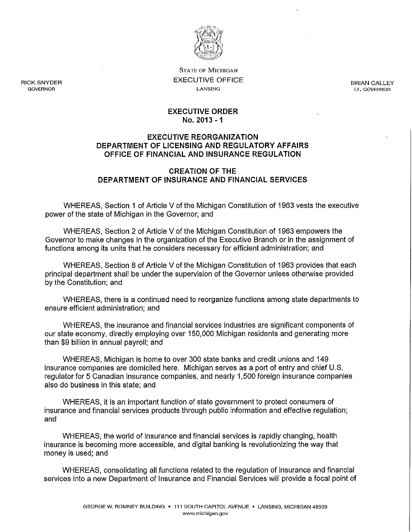

**STATE OF MICHIGAN**  EXECUTIVE OFFICE **LANSING** 

RICK SNYDER **GOVERNOR** 

BRIAN CALLEY **LT. GOVERNOR** 

#### **EXECUTIVE ORDER No. 2013 -1**

### **EXECUTIVE REORGANIZATION DEPARTMENT OF LICENSING AND REGULATORY AFFAIRS OFFICE OF FINANCIAL AND INSURANCE REGULATION**

### **CREATION OF THE DEPARTMENT OF INSURANCE AND FINANCIAL SERVICES**

WHEREAS, Section 1 of Article V of the Michigan Constitution of 1963 vests the executive power of the state of Michigan in the Governor; and

WHEREAS, Section 2 of Article V of the Michigan Constitution of 1963 empowers the Governor to make changes in the organization of the Executive Branch or in the assignment of functions among its units that he considers necessary for efficient administration; and

WHEREAS, Section 8 of Article V of the Michigan Constitution of 1963 provides that each principal department shall be under the supervision of the Governor unless otherwise provided by the Constitution; and

WHEREAS, there is a continued need to reorganize functions among state departments to ensure efficient administration; and

WHEREAS, the insurance and financial services industries are significant components of our state economy, directly employing over 150,000 Michigan residents and generating more than \$9 billion in annual payroll; and

WHEREAS, Michigan is home to over 300 state banks and credit unions and 149 insurance companies are domiciled here. Michigan serves as a port of entry and chief U.S. regulator for 5 Canadian insurance companies, and nearly 1,500 foreign insurance companies also do business in this state; and

WHEREAS, it is an important function of state government to protect consumers of insurance and financial services products through public information and effective regulation; and

WHEREAS, the world of insurance and financial services is rapidly changing, health insurance is becoming more accessible, and digital banking is revolutionizing the way that money is used; and

WHEREAS, consolidating all functions related to the regulation of insurance and financial services into a new Department of Insurance and Financial Services will provide a focal point of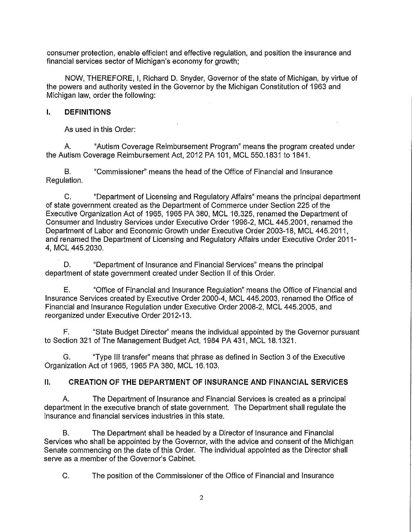consumer protection, enable efficient and effective regulation, and position the insurance and financial services sector of Michigan's economy for growth;

NOW, THEREFORE, I, Richard D. Snyder, Governor of the state of Michigan, by virtue of the powers and authority vested in the Governor by the Michigan Constitution of 1963 and Michigan law, order the following:

# **I. DEFINITIONS**

As used in this Order:

A. "Autism Coverage Reimbursement Program" means the program created under the Autism Coverage Reimbursement Act, 2012 PA 101, MCL 550.1831 to 1841.

B. "Commissioner'' means the head of the Office of Financial and Insurance Regulation.

C. "Department of Licensing and Regulatory Affairs" means the principal department of state government created as the Department of Commerce under Section 225 of the Executive Organization Act of 1965, 1965 PA 380, MCL 16.325, renamed the Department of Consumer and Industry Services under Executive Order 1996-2, MCL 445.2001, renamed the Department of Labor and Economic Growth under Executive Order 2003-18, MCL 445.2011, and renamed the Department of Licensing and Regulatory Affairs under Executive Order 2011- 4, MCL 445.2030.

D. "Department of Insurance and Financial Services" means the principal department of state government created under Section II of this Order.

E. "Office of Financial and Insurance Regulation" means the Office of Financial and Insurance Services created by Executive Order 2000-4, MCL 445.2003, renamed the Office of Financial and Insurance Regulation under Executive Order 2008-2, MCL 445.2005, and reorganized under Executive Order 2012-13.

F. "State Budget Director'' means the individual appointed by the Governor pursuant to Section 321 of The Management Budget Act, 1984 PA 431, MCL 18.1321.

G. "Type Ill transfer'' means that phrase as defined in Section 3 of the Executive Organization Act of 1965, 1965 PA 380, MCL 16.103.

# **II. CREATION OF THE DEPARTMENT OF INSURANCE AND FINANCIAL SERVICES**

A. The Department of Insurance and Financial Services is created as a principal department in the executive branch of state government. The Department shall regulate the insurance and financial services industries in this state.

B. The Department shall be headed by a Director of Insurance and Financial Services who shall be appointed by the Governor, with the advice and consent of the Michigan Senate commencing on the date of this Order. The individual appointed as the Director shall serve as a member of the Governor's Cabinet.

C. The position of the Commissioner of the Office of Financial and Insurance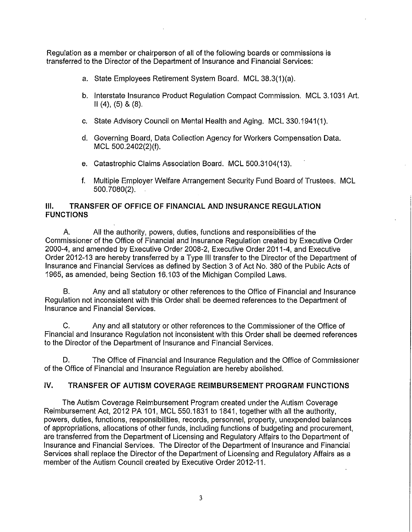Regulation as a member or chairperson of all of the following boards or commissions is transferred to the Director of the Department of Insurance and Financial Services:

- a. State Employees Retirement System Board. MCL 38.3(1)(a).
- b. Interstate Insurance Product Regulation Compact Commission. MCL 3.1031 Art.  $II(4), (5)$  &  $(8)$ .
- c. State Advisory Council on Mental Health and Aging. MCL 330.1941(1).
- d. Governing Board, Data Collection Agency for Workers Compensation Data. MCL 500.2402(2)(f).
- e. Catastrophic Claims Association Board. MCL 500.3104(13).
- f. Multiple Employer Welfare Arrangement Security Fund Board of Trustees. MCL 500. 7080(2).

## **Ill. TRANSFER OF OFFICE OF FINANCIAL AND INSURANCE REGULATION FUNCTIONS**

A. All the authority, powers, duties, functions and responsibilities of the Commissioner of the Office of Financial and Insurance Regulation created by Executive Order 2000-4, and amended by Executive Order 2008-2, Executive Order 2011-4, and Executive Order 2012-13 are hereby transferred by a Type Ill transfer to the Director of the Department of Insurance and Financial Services as defined by Section 3 of Act No. 380 of the Public Acts of 1965, as amended, being Section 16.103 of the Michigan Compiled Laws.

B. Any and all statutory or other references to the Office of Financial and Insurance Regulation not inconsistent with this Order shall be deemed references to the Department of Insurance and Financial Services.

C. Any and all statutory or other references to the Commissioner of the Office of Financial and Insurance Regulation not inconsistent with this Order shall be deemed references to the Director of the Department of Insurance and Financial Services.

D. The Office of Financial and Insurance Regulation and the Office of Commissioner of the Office of Financial and Insurance Regulation are hereby abolished.

## IV. **TRANSFER OF AUTISM COVERAGE REIMBURSEMENT PROGRAM FUNCTIONS**

The Autism Coverage Reimbursement Program created under the Autism Coverage Reimbursement Act, 2012 PA 101, MCL 550.1831 to 1841, together with all the authority, powers, duties, functions, responsibilities, records, personnel, property, unexpended balances of appropriations, allocations of other funds, including functions of budgeting and procurement, are transferred from the Department of Licensing and Regulatory Affairs to the Department of Insurance and Financial Services. The Director of the Department of Insurance and Financial Services shall replace the Director of the Department of Licensing and Regulatory Affairs as a member of the Autism Council created by Executive Order 2012-11.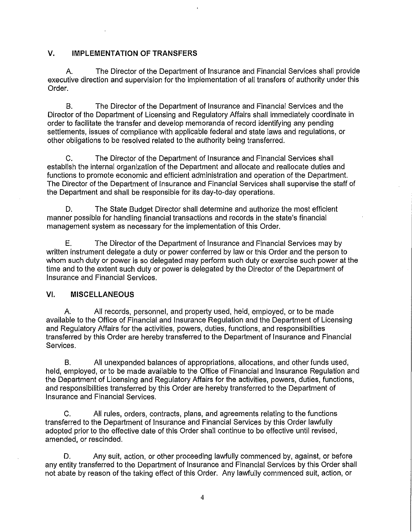### **V. IMPLEMENTATION OF TRANSFERS**

A. The Director of the Department of Insurance and Financial Services shall provide executive direction and supervision for the implementation of all transfers of authority under this Order.

B. The Director of the Department of Insurance and Financial Services and the Director of the Department of Licensing and Regulatory Affairs shall immediately coordinate in order to facilitate the transfer and develop memoranda of record identifying any pending settlements, issues of compliance with applicable federal and state laws and regulations, or other obligations to be resolved related to the authority being transferred.

C. The Director of the Department of Insurance and Financial Services shall establish the internal organization of the Department and allocate and reallocate duties and functions to promote economic and efficient administration and operation of the Department. The Director of the Department of Insurance and Financial Services shall supervise the staff of the Department and shall be responsible for its day-to-day operations.

D. The State Budget Director shall determine and authorize the most efficient manner possible for handling financial transactions and records in the state's financial management system as necessary for the implementation of this Order.

E. The Director of the Department of Insurance and Financial Services may by written instrument delegate a duty or power conferred by law or this Order and the person to whom such duty or power is so delegated may perform such duty or exercise such power at the time and to the extent such duty or power is delegated by the Director of the Department of Insurance and Financial Services.

# VI. **MISCELLANEOUS**

A. All records, personnel, and property used, held, employed, or to be made available to the Office of Financial and Insurance Regulation and the Department of Licensing and Regulatory Affairs for the activities, powers, duties, functions, and responsibilities transferred by this Order are hereby transferred to the Department of Insurance and Financial Services.

B. All unexpended balances of appropriations, allocations, and other funds used, held, employed, or to be made available to the Office of Financial and Insurance Regulation and the Department of Licensing and Regulatory Affairs for the activities, powers, duties, functions, and responsibilities transferred by this Order are hereby transferred to the Department of Insurance and Financial Services.

C. All rules, orders, contracts, plans, and agreements relating to the functions transferred to the Department of Insurance and Financial Services by this Order lawfully adopted prior to the effective date of this Order shall continue to be effective until revised, amended, or rescinded.

D. Any suit, action, or other proceeding lawfully commenced by, against, or before any entity transferred to the Department of Insurance and Financial Services by this Order shall not abate by reason of the taking effect of this Order. Any lawfully commenced suit, action, or